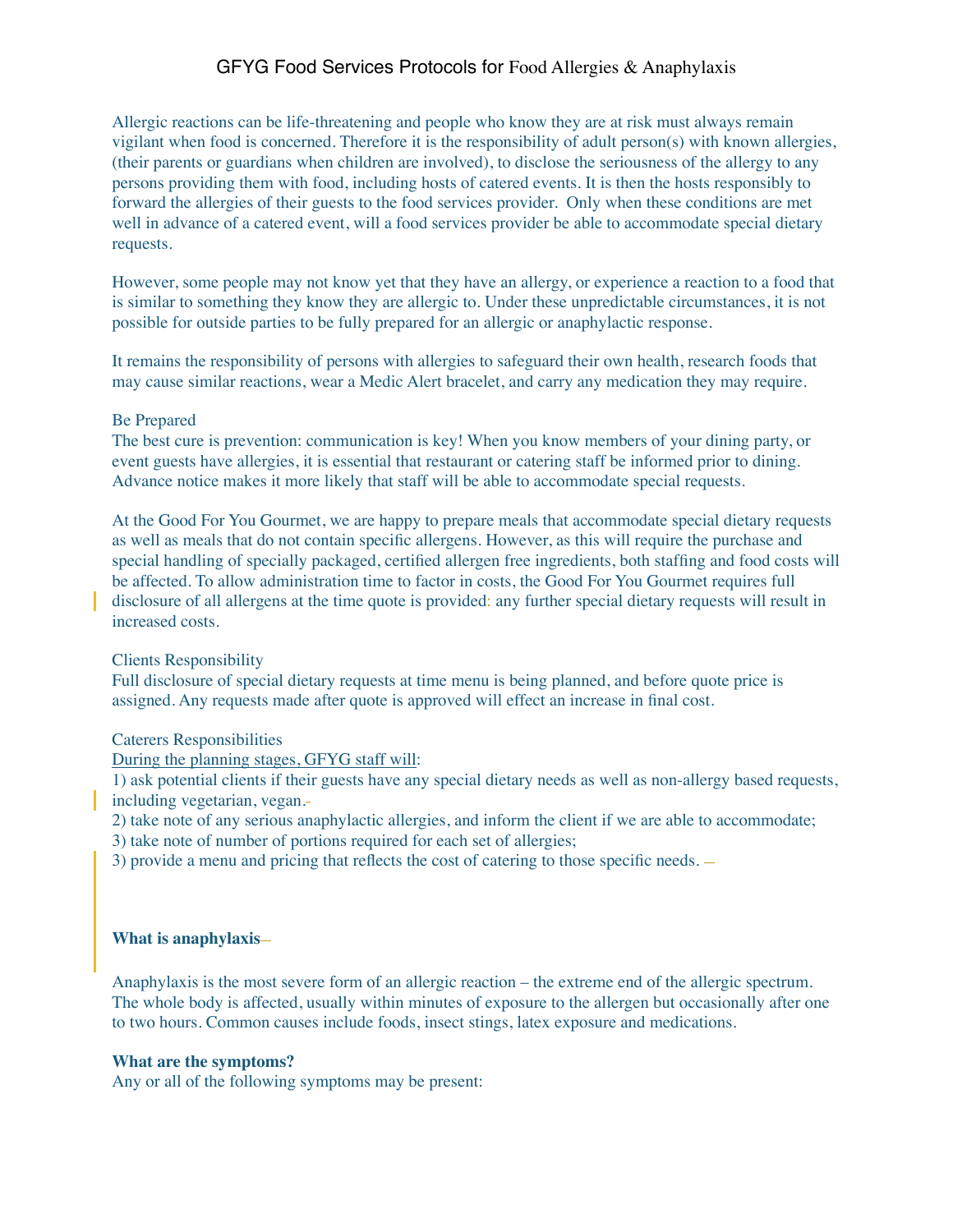# GFYG Food Services Protocols for Food Allergies & Anaphylaxis

Allergic reactions can be life-threatening and people who know they are at risk must always remain vigilant when food is concerned. Therefore it is the responsibility of adult person(s) with known allergies, (their parents or guardians when children are involved), to disclose the seriousness of the allergy to any persons providing them with food, including hosts of catered events. It is then the hosts responsibly to forward the allergies of their guests to the food services provider. Only when these conditions are met well in advance of a catered event, will a food services provider be able to accommodate special dietary requests.

However, some people may not know yet that they have an allergy, or experience a reaction to a food that is similar to something they know they are allergic to. Under these unpredictable circumstances, it is not possible for outside parties to be fully prepared for an allergic or anaphylactic response.

It remains the responsibility of persons with allergies to safeguard their own health, research foods that may cause similar reactions, wear a Medic Alert bracelet, and carry any medication they may require.

# Be Prepared

The best cure is prevention: communication is key! When you know members of your dining party, or event guests have allergies, it is essential that restaurant or catering staff be informed prior to dining. Advance notice makes it more likely that staff will be able to accommodate special requests.

At the Good For You Gourmet, we are happy to prepare meals that accommodate special dietary requests as well as meals that do not contain specific allergens. However, as this will require the purchase and special handling of specially packaged, certified allergen free ingredients, both staffing and food costs will be affected. To allow administration time to factor in costs, the Good For You Gourmet requires full disclosure of all allergens at the time quote is provided: any further special dietary requests will result in increased costs.

#### Clients Responsibility

Full disclosure of special dietary requests at time menu is being planned, and before quote price is assigned. Any requests made after quote is approved will effect an increase in final cost.

### Caterers Responsibilities

During the planning stages, GFYG staff will:

1) ask potential clients if their guests have any special dietary needs as well as non-allergy based requests, including vegetarian, vegan.

2) take note of any serious anaphylactic allergies, and inform the client if we are able to accommodate;

3) take note of number of portions required for each set of allergies;

3) provide a menu and pricing that reflects the cost of catering to those specific needs.

### **What is anaphylaxis**

Anaphylaxis is the most severe form of an allergic reaction – the extreme end of the allergic spectrum. The whole body is affected, usually within minutes of exposure to the allergen but occasionally after one to two hours. Common causes include foods, insect stings, latex exposure and medications.

# **What are the symptoms?**

Any or all of the following symptoms may be present: